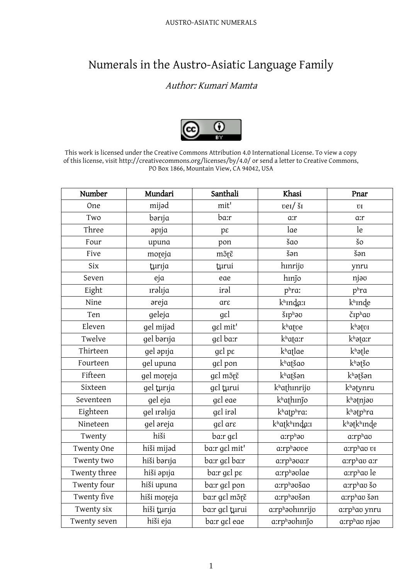## Numerals in the Austro-Asiatic Language Family

## Author: Kumari Mamta



This work is licensed under the Creative Commons Attribution 4.0 International License. To view a copy of this license, visit http://creativecommons.org/licenses/by/4.0/ or send a letter to Creative Commons, PO Box 1866, Mountain View, CA 94042, USA

| Number       | Mundari           | Santhali                | Khasi                                                      | Pnar                   |
|--------------|-------------------|-------------------------|------------------------------------------------------------|------------------------|
| One          | mijad             | mit'                    | $veI / \S_I$                                               | U                      |
| Two          | bərıja            | ba:r                    | $a$ : $r$                                                  | $a$ :r                 |
| Three        | $ap$ ija          | $p\epsilon$             | lae                                                        | le                     |
| Four         | upuna             | pon                     | šαo                                                        | $\check{\mathbf{s}}$ o |
| Five         | moreja            | mõre                    | šən                                                        | šən                    |
| <b>Six</b>   | turija            | turui                   | hınrijo                                                    | ynru                   |
| Seven        | eja               | eae                     | hinjo                                                      | njao                   |
| Eight        | <i>ralija</i>     | iral                    | phra:                                                      | p <sup>h</sup> r a     |
| Nine         | əreja             | $\mathop{\mathrm{arc}}$ | kh <sub>Inda:1</sub>                                       | khinde                 |
| Ten          | geleja            | $g_{\varepsilon}$       | $\check{\mathrm{S}}$ I $p^{\mathrm{h}}$ $\mathrm{d}\sigma$ | čiphao                 |
| Eleven       | gel mijad         | gel mit'                | khatve                                                     | $kh$ ətvi              |
| Twelve       | gel barıja        | gel ba:r                | k <sup>h</sup> ata:r                                       | khata:r                |
| Thirteen     | gel apija         | $gel$ p $\varepsilon$   | khatlae                                                    | khatle                 |
| Fourteen     | gel upuna         | gel pon                 | khatšao                                                    | khatšo                 |
| Fifteen      | gel moreja        | gel mõre                | khatšən                                                    | khatšan                |
| Sixteen      | gel turija        | gel turui               | khathinrijo                                                | khatynru               |
| Seventeen    | gel eja           | gel eae                 | khathinjo                                                  | khatnjao               |
| Eighteen     | gel <i>ralija</i> | gel iral                | k <sup>h</sup> atp <sup>h</sup> ra:                        | khatphra               |
| Nineteen     | gel areja         | gel are                 | khatkhında:1                                               | khatkhinde             |
| Twenty       | hiši              | ba:r gel                | a:rph <sub>au</sub>                                        | a:rphao                |
| Twenty One   | hiši mijad        | ba:r gel mit'           | a:rphaove                                                  | a:rphao vi             |
| Twenty two   | hiši bərıja       | ba:r gɛl ba:r           | a:rph <sub>ava:r</sub>                                     | a:rphao a:r            |
| Twenty three | hiši əpıja        | ba:r gel pe             | a:rph <sub>avlae</sub>                                     | a:rphao le             |
| Twenty four  | hiši upuna        | ba:r gɛl pon            | a:rphovšao                                                 | a:rphao šo             |
| Twenty five  | hiši moreja       | ba:r gel mõte           | a:rphaošan                                                 | a:rphao šan            |
| Twenty six   | hiši turija       | ba:r gel turui          | a:rphaohinrijo                                             | a:rphao ynru           |
| Twenty seven | hiši eja          | ba:r gel eae            | a:rph <sub>avhinjo</sub>                                   | a:rphao njao           |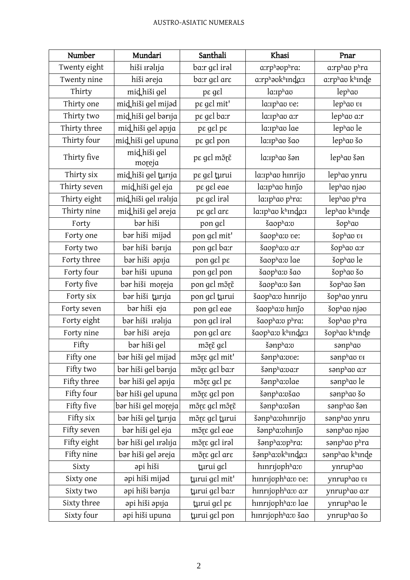| Number       | Mundari                | Santhali                               | Khasi                             | Pnar           |
|--------------|------------------------|----------------------------------------|-----------------------------------|----------------|
| Twenty eight | hiši <i>ralija</i>     | ba:r gel iral                          | a:rphoophra:                      | a:rphao phra   |
| Twenty nine  | hiši əreja             | ba:r gel are                           | a:rphəvkhında:1                   | a:rphao khinde |
| Thirty       | mid hiši gel           | $pe$ g $el$                            | $l$ a: $I$ phao                   | lephao         |
| Thirty one   | mid hiši gel mijad     | pe gel mit'                            | la: Iphao ve:                     | lephao vi      |
| Thirty two   | mid hiši gel barıja    | pe gel ba:r                            | la: <sub>Iphao a:r</sub>          | lephao a:r     |
| Thirty three | mid hiši gel apıja     | $pe$ gel pe                            | la: Iphao lae                     | lephao le      |
| Thirty four  | midhiši gel upuna      | pe gel pon                             | la: Iphao šao                     | lephao šo      |
| Thirty five  | mid hiši gel<br>moreja | pε gεl mõ <sub>t</sub> ẽ               | la: <sub>Iph</sub> ao šən         | lephao šən     |
| Thirty six   | mid hiši gel turija    | pe gel turui                           | la: Iphao hinrijo                 | lephao ynru    |
| Thirty seven | mid hiši gel eja       | pe gel eae                             | la: Iphao hinjo                   | lephao njao    |
| Thirty eight | mid hiši gel Iralıja   | pe gel iral                            | la: <sub>Iphao phra</sub> :       | lephao phra    |
| Thirty nine  | mid hiši gel areja     | pe gel are                             | la: Iphao khinda: I               | lephao khinde  |
| Forty        | bər hiši               | pon gel                                | šaopha:o                          | šophao         |
| Forty one    | bər hiši mijəd         | pon gel mit'                           | šaopha: ve:                       | šophao vi      |
| Forty two    | bər hiši bərıja        | pon gel ba:r                           | šaopha: va: r                     | šophao a:r     |
| Forty three  | bər hiši əpıja         | pon gel pe                             | šaopha: ulae                      | šophao le      |
| Forty four   | bər hiši upuna         | pon gel pon                            | šaopha: v šao                     | šophao šo      |
| Forty five   | bər hiši moreja        | pon gel mõte                           | šaopha: v šən                     | šophao šən     |
| Forty six    | bər hiši turıja        | pon gel turui                          | šaopha: u hinrijo                 | šophao ynru    |
| Forty seven  | bər hiši eja           | pon gel eae                            | šaopha: uhinjo                    | šophao njoo    |
| Forty eight  | bər hiši ırəlıja       | pon gel iral                           | šaopha: phra:                     | šophao phra    |
| Forty nine   | bər hiši əreja         | pon gel are                            | šaopha: v khinda: i               | šophao khinde  |
| Fifty        | bər hiši gel           | mõ <sub>l</sub> $\tilde{\epsilon}$ gel | šənpha:o                          | sənphao        |
| Fifty one    | bər hiši gel mijəd     | mõre gel mit'                          | $\emph{S}$ anpha: $\emph{over}$ : | sənphay vi     |
| Fifty two    | bər hiši gel bərıja    | mõre gel ba:r                          | šənpha:va:r                       | sənphao a:r    |
| Fifty three  | bər hiši gel əpıja     | mõte gel pe                            | šənpha: vlae                      | sanphao le     |
| Fifty four   | bar hiši gel upuna     | mõte gel pon                           | šənpha: všao                      | sanphao šo     |
| Fifty five   | bar hiši gel moreja    | mõre gel mõre                          | šənpha:všən                       | sənphao šən    |
| Fifty six    | bər hiši gel tµrıja    | mõre gel turui                         | šənpha: ohinrijo                  | sanphao ynru   |
| Fifty seven  | bər hiši gel eja       | mõre gel eae                           | šənpha: uhinjo                    | sənphao njəo   |
| Fifty eight  | bər hiši gel ırəlıja   | mõre gel iral                          | šənpha: uphra:                    | sənphao phra   |
| Fifty nine   | bər hiši gel əreja     | mõre gel are                           | šənpha:okhında:1                  | sanphao khinde |
| Sixty        | əpi hiši               | turui gel                              | hinrijophha:v                     | ynruphao       |
| Sixty one    | əpi hiši mijəd         | turui gel mit'                         | hinrijoph <sup>h</sup> a:v ve:    | ynruphao vI    |
| Sixty two    | əpi hiši bərıja        | turui gel ba:r                         | hınrıjoph <sup>h</sup> a:v a:r    | ynruphao a:r   |
| Sixty three  | əpi hiši əpıja         | turui gel pe                           | hınrıjoph <sup>h</sup> a:v lae    | ynruphao le    |
| Sixty four   | api hiši upuna         | turui gel pon                          | hinrijoph <sup>h</sup> a:v šao    | ynruphao šo    |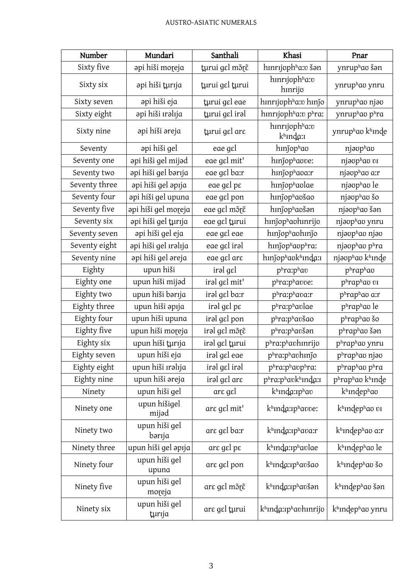| Number        | Mundari                 | Santhali                                    | Khasi                                              | Pnar                         |
|---------------|-------------------------|---------------------------------------------|----------------------------------------------------|------------------------------|
| Sixty five    | əpi hiši moreja         | turui gel mõte                              | hınrıjophha:v šən                                  | ynruphao šən                 |
| Sixty six     | əpi hiši tµrıja         | turui gel turui                             | hinrijophha:v<br>hmrijo                            | ynruphao ynru                |
| Sixty seven   | əpi hiši eja            | turui gel eae                               | hınrıjoph <sup>h</sup> a:v hınjo                   | ynruphao njao                |
| Sixty eight   | api hiši ıralıja        | turui gel iral                              | hinrijophha:v phra:                                | ynruphao phra                |
| Sixty nine    | əpi hiši əreja          | turui gel are                               | hinrijoph <sup>h</sup> a:v<br>kh <sub>Inda:1</sub> | ynruphao khinde              |
| Seventy       | api hiši gel            | eae gɛl                                     | hinjophao                                          | njaophao                     |
| Seventy one   | api hiši gel mijad      | eae gel mit'                                | hmjophavve:                                        | njaophao vi                  |
| Seventy two   | api hiši gel barıja     | eae gel ba:r                                | hmjophava:r                                        | njaophao a:r                 |
| Seventy three | api hiši gel apıja      | eae gel pe                                  | hmjophavlae                                        | njaophao le                  |
| Seventy four  | api hiši gel upuna      | eae gel pon                                 | hinjophaošao                                       | njauphau šo                  |
| Seventy five  | api hiši gel moreja     | eae gɛl mɔ̃rɛ̃                              | hmjophaošon                                        | njaophao šan                 |
| Seventy six   | api hiši gel turija     | eae gel turui                               | hmjophavhinrijo                                    | njaophao ynru                |
| Seventy seven | api hiši gel eja        | eae gal eae                                 | hmjophavhmjo                                       | njaophao njao                |
| Seventy eight | api hiši gel ıralıja    | eae gel iral                                | hinjophaophra:                                     | njaophao phra                |
| Seventy nine  | api hiši gel areja      | eae gɛl arɛ                                 | hmjophaokhmda:                                     | njaophao khinde              |
| Eighty        | upun hiši               | irəl gel                                    | phra:phav                                          | phraphao                     |
| Eighty one    | upun hiši mijad         | irəl gel mit'                               | phra:phavve:                                       | phraphao vi                  |
| Eighty two    | upun hiši barıja        | irəl gel ba:r                               | phra:phava:r                                       | phraphao a:r                 |
| Eighty three  | upun hiši apıja         | irəl gel pe                                 | phra:phavlae                                       | phraphao le                  |
| Eighty four   | upun hiši upuna         | irəl gel pon                                | phra:phavšao                                       | phraphao šo                  |
| Eighty five   | upun hiši moreja        | irəl gel mõ <sub>l</sub> $\tilde{\epsilon}$ | phra:phavšan                                       | phraphao šən                 |
| Eighty six    | upun hiši turija        | irəl gel turui                              | phra:phavhinrijo                                   | phraphao ynru                |
| Eighty seven  | upun hiši eja           | iral gel eae                                | p <sup>h</sup> ra:phavhinjo                        | phraphao njao                |
| Eighty eight  | upun hiši ıralıja       | iral gel iral                               | phra:phavphra:                                     | phraphao phra                |
| Eighty nine   | upun hiši areja         | irəl gel are                                | phra:phavkhinda:                                   | phraphao khinde              |
| Ninety        | upun hiši gel           | are gel                                     | khinda:iphav                                       | khindephao                   |
| Ninety one    | upun hišigel<br>mijəd   | are gel mit'                                | k <sup>h</sup> inda: iphavve:                      | k <sup>h</sup> indephao vi   |
| Ninety two    | upun hiši gel<br>bərıja | are gel ba:r                                | k <sup>h</sup> inda:iphava:r                       | k <sup>h</sup> indephao a:r  |
| Ninety three  | upun hiši gel apija     | are gel pe                                  | k <sup>h</sup> inda: iphavlae                      | k <sup>h</sup> indephao le   |
| Ninety four   | upun hiši gel<br>upuna  | are gel pon                                 | k <sup>h</sup> ında:ıp <sup>h</sup> avšao          | k <sup>h</sup> indephao šo   |
| Ninety five   | upun hiši gel<br>moreja | arε gεl mõτε̃                               | k <sup>h</sup> inda:iphavšən                       | k <sup>h</sup> indephao šən  |
| Ninety six    | upun hiši gel<br>turija | are gel turui                               | k <sup>h</sup> inda:iphavhinrijo                   | k <sup>h</sup> indephao ynru |